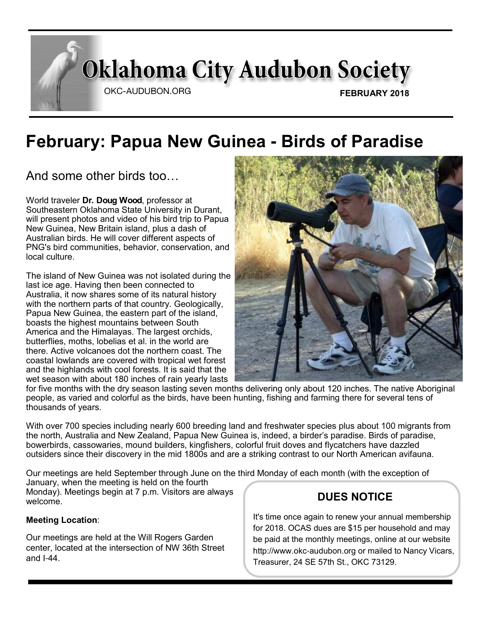# **Oklahoma City Audubon Society**

OKC-AUDUBON.ORG

# **February: Papua New Guinea - Birds of Paradise**

And some other birds too…

World traveler **Dr. Doug Wood**, professor at Southeastern Oklahoma State University in Durant, will present photos and video of his bird trip to Papua New Guinea, New Britain island, plus a dash of Australian birds. He will cover different aspects of PNG's bird communities, behavior, conservation, and local culture.

The island of New Guinea was not isolated during the last ice age. Having then been connected to Australia, it now shares some of its natural history with the northern parts of that country. Geologically, Papua New Guinea, the eastern part of the island, boasts the highest mountains between South America and the Himalayas. The largest orchids, butterflies, moths, lobelias et al. in the world are there. Active volcanoes dot the northern coast. The coastal lowlands are covered with tropical wet forest and the highlands with cool forests. It is said that the wet season with about 180 inches of rain yearly lasts



for five months with the dry season lasting seven months delivering only about 120 inches. The native Aboriginal people, as varied and colorful as the birds, have been hunting, fishing and farming there for several tens of thousands of years.

With over 700 species including nearly 600 breeding land and freshwater species plus about 100 migrants from the north, Australia and New Zealand, Papua New Guinea is, indeed, a birder's paradise. Birds of paradise, bowerbirds, cassowaries, mound builders, kingfishers, colorful fruit doves and flycatchers have dazzled outsiders since their discovery in the mid 1800s and are a striking contrast to our North American avifauna.

Our meetings are held September through June on the third Monday of each month (with the exception of January, when the meeting is held on the fourth Monday). Meetings begin at 7 p.m. Visitors are always welcome. **DUES NOTICE** 

#### **Meeting Location**:

Our meetings are held at the Will Rogers Garden center, located at the intersection of NW 36th Street and I-44.

It's time once again to renew your annual membership for 2018. OCAS dues are \$15 per household and may be paid at the monthly meetings, online at our website http://www.okc-audubon.org or mailed to Nancy Vicars, Treasurer, 24 SE 57th St., OKC 73129.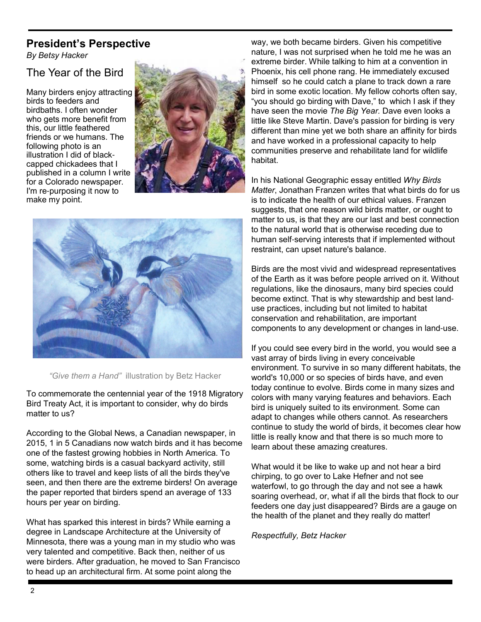## **President's Perspective**

*By Betsy Hacker*

#### The Year of the Bird

Many birders enjoy attracting birds to feeders and birdbaths. I often wonder who gets more benefit from this, our little feathered friends or we humans. The following photo is an illustration I did of blackcapped chickadees that I published in a column I write for a Colorado newspaper. I'm re-purposing it now to make my point.





*"Give them a Hand"* illustration by Betz Hacker

To commemorate the centennial year of the 1918 Migratory Bird Treaty Act, it is important to consider, why do birds matter to us?

According to the Global News, a Canadian newspaper, in 2015, 1 in 5 Canadians now watch birds and it has become one of the fastest growing hobbies in North America. To some, watching birds is a casual backyard activity, still others like to travel and keep lists of all the birds they've seen, and then there are the extreme birders! On average the paper reported that birders spend an average of 133 hours per year on birding.

What has sparked this interest in birds? While earning a degree in Landscape Architecture at the University of Minnesota, there was a young man in my studio who was very talented and competitive. Back then, neither of us were birders. After graduation, he moved to San Francisco to head up an architectural firm. At some point along the

way, we both became birders. Given his competitive nature, I was not surprised when he told me he was an extreme birder. While talking to him at a convention in Phoenix, his cell phone rang. He immediately excused himself so he could catch a plane to track down a rare bird in some exotic location. My fellow cohorts often say, "you should go birding with Dave," to which I ask if they have seen the movie *The Big Year.* Dave even looks a little like Steve Martin. Dave's passion for birding is very different than mine yet we both share an affinity for birds and have worked in a professional capacity to help communities preserve and rehabilitate land for wildlife habitat.

In his National Geographic essay entitled *Why Birds Matter*, Jonathan Franzen writes that what birds do for us is to indicate the health of our ethical values. Franzen suggests, that one reason wild birds matter, or ought to matter to us, is that they are our last and best connection to the natural world that is otherwise receding due to human self-serving interests that if implemented without restraint, can upset nature's balance.

Birds are the most vivid and widespread representatives of the Earth as it was before people arrived on it. Without regulations, like the dinosaurs, many bird species could become extinct. That is why stewardship and best landuse practices, including but not limited to habitat conservation and rehabilitation, are important components to any development or changes in land-use.

If you could see every bird in the world, you would see a vast array of birds living in every conceivable environment. To survive in so many different habitats, the world's 10,000 or so species of birds have, and even today continue to evolve. Birds come in many sizes and colors with many varying features and behaviors. Each bird is uniquely suited to its environment. Some can adapt to changes while others cannot. As researchers continue to study the world of birds, it becomes clear how little is really know and that there is so much more to learn about these amazing creatures.

What would it be like to wake up and not hear a bird chirping, to go over to Lake Hefner and not see waterfowl, to go through the day and not see a hawk soaring overhead, or, what if all the birds that flock to our feeders one day just disappeared? Birds are a gauge on the health of the planet and they really do matter!

*Respectfully, Betz Hacker*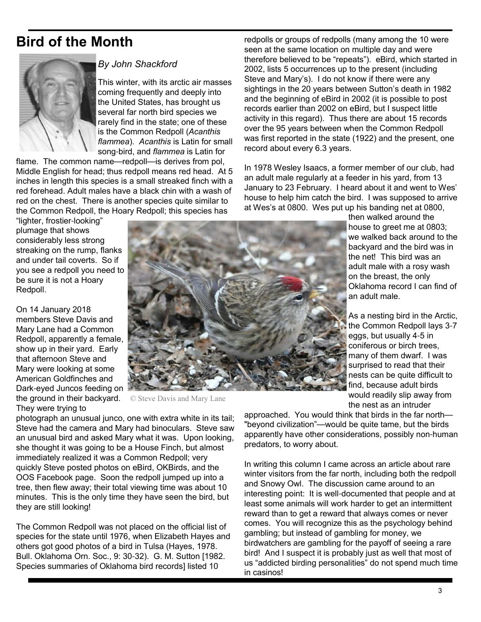# **Bird of the Month**



#### *By John Shackford*

This winter, with its arctic air masses coming frequently and deeply into the United States, has brought us several far north bird species we rarely find in the state; one of these is the Common Redpoll (*Acanthis flammea*). *Acanthis* is Latin for small song-bird, and *flammea* is Latin for

flame. The common name—redpoll—is derives from pol, Middle English for head; thus redpoll means red head. At 5 inches in length this species is a small streaked finch with a red forehead. Adult males have a black chin with a wash of red on the chest. There is another species quite similar to the Common Redpoll, the Hoary Redpoll; this species has

"lighter, frostier-looking" plumage that shows considerably less strong streaking on the rump, flanks and under tail coverts. So if you see a redpoll you need to be sure it is not a Hoary Redpoll.

On 14 January 2018 members Steve Davis and Mary Lane had a Common Redpoll, apparently a female, show up in their yard. Early that afternoon Steve and Mary were looking at some American Goldfinches and Dark-eyed Juncos feeding on the ground in their backyard. They were trying to



© Steve Davis and Mary Lane

photograph an unusual junco, one with extra white in its tail; Steve had the camera and Mary had binoculars. Steve saw an unusual bird and asked Mary what it was. Upon looking, she thought it was going to be a House Finch, but almost immediately realized it was a Common Redpoll; very quickly Steve posted photos on eBird, OKBirds, and the OOS Facebook page. Soon the redpoll jumped up into a tree, then flew away; their total viewing time was about 10 minutes. This is the only time they have seen the bird, but they are still looking!

The Common Redpoll was not placed on the official list of species for the state until 1976, when Elizabeth Hayes and others got good photos of a bird in Tulsa (Hayes, 1978. Bull. Oklahoma Orn. Soc., 9: 30-32). G. M. Sutton [1982. Species summaries of Oklahoma bird records] listed 10

redpolls or groups of redpolls (many among the 10 were seen at the same location on multiple day and were therefore believed to be "repeats"). eBird, which started in 2002, lists 5 occurrences up to the present (including Steve and Mary's). I do not know if there were any sightings in the 20 years between Sutton's death in 1982 and the beginning of eBird in 2002 (it is possible to post records earlier than 2002 on eBird, but I suspect little activity in this regard). Thus there are about 15 records over the 95 years between when the Common Redpoll was first reported in the state (1922) and the present, one record about every 6.3 years.

In 1978 Wesley Isaacs, a former member of our club, had an adult male regularly at a feeder in his yard, from 13 January to 23 February. I heard about it and went to Wes' house to help him catch the bird. I was supposed to arrive at Wes's at 0800. Wes put up his banding net at 0800,

> then walked around the house to greet me at 0803; we walked back around to the backyard and the bird was in the net! This bird was an adult male with a rosy wash on the breast, the only Oklahoma record I can find of an adult male.

> As a nesting bird in the Arctic, the Common Redpoll lays 3-7 eggs, but usually 4-5 in coniferous or birch trees, many of them dwarf. I was surprised to read that their nests can be quite difficult to find, because adult birds would readily slip away from the nest as an intruder

approached. You would think that birds in the far north— "beyond civilization"—would be quite tame, but the birds apparently have other considerations, possibly non-human predators, to worry about.

In writing this column I came across an article about rare winter visitors from the far north, including both the redpoll and Snowy Owl. The discussion came around to an interesting point: It is well-documented that people and at least some animals will work harder to get an intermittent reward than to get a reward that always comes or never comes. You will recognize this as the psychology behind gambling; but instead of gambling for money, we birdwatchers are gambling for the payoff of seeing a rare bird! And I suspect it is probably just as well that most of us "addicted birding personalities" do not spend much time in casinos!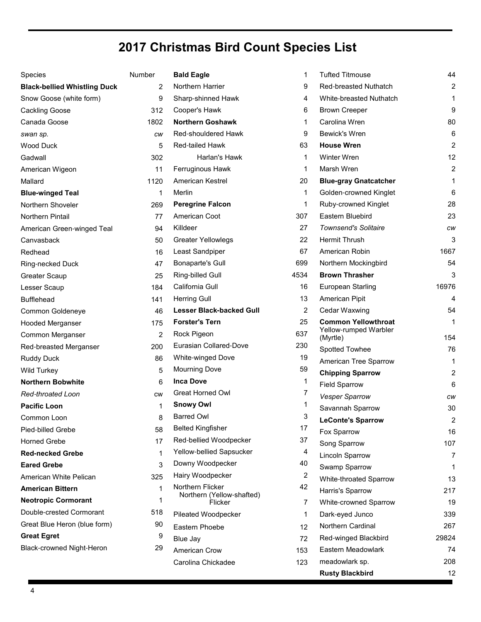# **2017 Christmas Bird Count Species List**

| Species                             | Number       | <b>Bald Eagle</b>                             | 1    | <b>Tufted Titmouse</b>            | 44             |
|-------------------------------------|--------------|-----------------------------------------------|------|-----------------------------------|----------------|
| <b>Black-bellied Whistling Duck</b> | 2            | Northern Harrier                              | 9    | Red-breasted Nuthatch             | $\overline{c}$ |
| Snow Goose (white form)             | 9            | Sharp-shinned Hawk                            | 4    | White-breasted Nuthatch           | 1              |
| <b>Cackling Goose</b>               | 312          | Cooper's Hawk                                 | 6    | <b>Brown Creeper</b>              | 9              |
| Canada Goose                        | 1802         | <b>Northern Goshawk</b>                       | 1    | Carolina Wren                     | 80             |
| swan sp.                            | cw           | Red-shouldered Hawk                           | 9    | Bewick's Wren                     | 6              |
| <b>Wood Duck</b>                    | 5            | Red-tailed Hawk                               | 63   | <b>House Wren</b>                 | $\overline{c}$ |
| Gadwall                             | 302          | Harlan's Hawk                                 | 1    | <b>Winter Wren</b>                | 12             |
| American Wigeon                     | 11           | Ferruginous Hawk                              | 1    | Marsh Wren                        | $\overline{c}$ |
| Mallard                             | 1120         | American Kestrel                              | 20   | <b>Blue-gray Gnatcatcher</b>      | $\mathbf{1}$   |
| <b>Blue-winged Teal</b>             | 1            | Merlin                                        | 1    | Golden-crowned Kinglet            | 6              |
| Northern Shoveler                   | 269          | <b>Peregrine Falcon</b>                       | 1    | Ruby-crowned Kinglet              | 28             |
| <b>Northern Pintail</b>             | 77           | American Coot                                 | 307  | Eastern Bluebird                  | 23             |
| American Green-winged Teal          | 94           | Killdeer                                      | 27   | <b>Townsend's Solitaire</b>       | CW             |
| Canvasback                          | 50           | <b>Greater Yellowlegs</b>                     | 22   | Hermit Thrush                     | 3              |
| Redhead                             | 16           | Least Sandpiper                               | 67   | American Robin                    | 1667           |
| Ring-necked Duck                    | 47           | <b>Bonaparte's Gull</b>                       | 699  | Northern Mockingbird              | 54             |
| <b>Greater Scaup</b>                | 25           | Ring-billed Gull                              | 4534 | <b>Brown Thrasher</b>             | 3              |
| Lesser Scaup                        | 184          | California Gull                               | 16   | European Starling                 | 16976          |
| <b>Bufflehead</b>                   | 141          | <b>Herring Gull</b>                           | 13   | American Pipit                    | 4              |
| Common Goldeneye                    | 46           | <b>Lesser Black-backed Gull</b>               | 2    | Cedar Waxwing                     | 54             |
| <b>Hooded Merganser</b>             | 175          | <b>Forster's Tern</b>                         | 25   | <b>Common Yellowthroat</b>        | $\mathbf{1}$   |
| Common Merganser                    | 2            | Rock Pigeon                                   | 637  | Yellow-rumped Warbler<br>(Myrtle) | 154            |
| Red-breasted Merganser              | 200          | Eurasian Collared-Dove                        | 230  | Spotted Towhee                    | 76             |
| <b>Ruddy Duck</b>                   | 86           | White-winged Dove                             | 19   | American Tree Sparrow             | 1              |
| <b>Wild Turkey</b>                  | 5            | <b>Mourning Dove</b>                          | 59   | <b>Chipping Sparrow</b>           | 2              |
| <b>Northern Bobwhite</b>            | 6            | <b>Inca Dove</b>                              | 1    | <b>Field Sparrow</b>              | 6              |
| Red-throated Loon                   | <b>CW</b>    | <b>Great Horned Owl</b>                       |      | Vesper Sparrow                    | CW             |
| <b>Pacific Loon</b>                 | 1            | <b>Snowy Owl</b>                              |      | Savannah Sparrow                  | 30             |
| Common Loon                         | 8            | <b>Barred Owl</b>                             | 3    | <b>LeConte's Sparrow</b>          | 2              |
| Pied-billed Grebe                   | 58           | <b>Belted Kingfisher</b>                      | 17   | Fox Sparrow                       | 16             |
| <b>Horned Grebe</b>                 | 17           | Red-bellied Woodpecker                        | 37   | Song Sparrow                      | 107            |
| <b>Red-necked Grebe</b>             | 1            | Yellow-bellied Sapsucker                      | 4    | Lincoln Sparrow                   | $\overline{7}$ |
| <b>Eared Grebe</b>                  | 3            | Downy Woodpecker                              | 40   | Swamp Sparrow                     | 1              |
| American White Pelican              | 325          | Hairy Woodpecker                              | 2    | White-throated Sparrow            | 13             |
| <b>American Bittern</b>             | $\mathbf{1}$ | Northern Flicker<br>Northern (Yellow-shafted) | 42   | Harris's Sparrow                  | 217            |
| <b>Neotropic Cormorant</b>          | 1            | Flicker                                       | 7    | White-crowned Sparrow             | 19             |
| Double-crested Cormorant            | 518          | Pileated Woodpecker                           | 1    | Dark-eyed Junco                   | 339            |
| Great Blue Heron (blue form)        | 90           | Eastern Phoebe                                | 12   | Northern Cardinal                 | 267            |
| <b>Great Egret</b>                  | 9            | Blue Jay                                      | 72   | Red-winged Blackbird              | 29824          |
| Black-crowned Night-Heron           | 29           | American Crow                                 | 153  | Eastern Meadowlark                | 74             |
|                                     |              | Carolina Chickadee                            | 123  | meadowlark sp.                    | 208            |
|                                     |              |                                               |      | <b>Rusty Blackbird</b>            | 12             |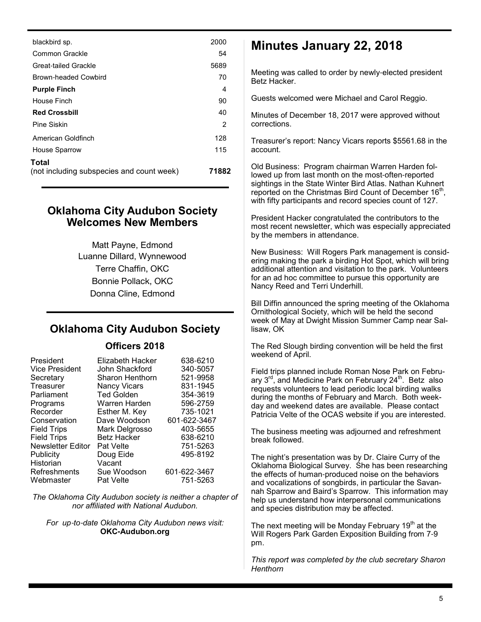| blackbird sp.                                      | 2000  |
|----------------------------------------------------|-------|
| Common Grackle                                     | 54    |
| Great-tailed Grackle                               | 5689  |
| Brown-headed Cowbird                               | 70    |
| <b>Purple Finch</b>                                | 4     |
| House Finch                                        | 90    |
| <b>Red Crossbill</b>                               | 40    |
| Pine Siskin                                        | 2     |
| American Goldfinch                                 | 128   |
| <b>House Sparrow</b>                               | 115   |
| Total<br>(not including subspecies and count week) | 71882 |

#### **Oklahoma City Audubon Society Welcomes New Members**

Matt Payne, Edmond Luanne Dillard, Wynnewood Terre Chaffin, OKC Bonnie Pollack, OKC Donna Cline, Edmond

#### **Oklahoma City Audubon Society**

#### **Officers 2018**

| President                | Elizabeth Hacker    | 638-6210     |
|--------------------------|---------------------|--------------|
| <b>Vice President</b>    | John Shackford      | 340-5057     |
| Secretary                | Sharon Henthorn     | 521-9958     |
| Treasurer                | <b>Nancy Vicars</b> | 831-1945     |
| Parliament               | <b>Ted Golden</b>   | 354-3619     |
| Programs                 | Warren Harden       | 596-2759     |
| Recorder                 | Esther M. Key       | 735-1021     |
| Conservation             | Dave Woodson        | 601-622-3467 |
| <b>Field Trips</b>       | Mark Delgrosso      | 403-5655     |
| <b>Field Trips</b>       | Betz Hacker         | 638-6210     |
| <b>Newsletter Editor</b> | <b>Pat Velte</b>    | 751-5263     |
| Publicity                | Doug Eide           | 495-8192     |
| Historian                | Vacant              |              |
| Refreshments             | Sue Woodson         | 601-622-3467 |
| Webmaster                | Pat Velte           | 751-5263     |

*The Oklahoma City Audubon society is neither a chapter of nor affiliated with National Audubon.*

*For up*-*to*-*date Oklahoma City Audubon news visit:* **OKC-Audubon.org**

## **Minutes January 22, 2018**

Meeting was called to order by newly-elected president Betz Hacker.

Guests welcomed were Michael and Carol Reggio.

Minutes of December 18, 2017 were approved without corrections.

Treasurer's report: Nancy Vicars reports \$5561.68 in the account.

Old Business: Program chairman Warren Harden followed up from last month on the most-often-reported sightings in the State Winter Bird Atlas. Nathan Kuhnert reported on the Christmas Bird Count of December 16<sup>th</sup>, with fifty participants and record species count of 127.

President Hacker congratulated the contributors to the most recent newsletter, which was especially appreciated by the members in attendance.

New Business: Will Rogers Park management is considering making the park a birding Hot Spot, which will bring additional attention and visitation to the park. Volunteers for an ad hoc committee to pursue this opportunity are Nancy Reed and Terri Underhill.

Bill Diffin announced the spring meeting of the Oklahoma Ornithological Society, which will be held the second week of May at Dwight Mission Summer Camp near Sallisaw, OK

The Red Slough birding convention will be held the first weekend of April.

Field trips planned include Roman Nose Park on February 3<sup>rd</sup>, and Medicine Park on February 24<sup>th</sup>. Betz also requests volunteers to lead periodic local birding walks during the months of February and March. Both weekday and weekend dates are available. Please contact Patricia Velte of the OCAS website if you are interested.

The business meeting was adjourned and refreshment break followed.

The night's presentation was by Dr. Claire Curry of the Oklahoma Biological Survey. She has been researching the effects of human-produced noise on the behaviors and vocalizations of songbirds, in particular the Savannah Sparrow and Baird's Sparrow. This information may help us understand how interpersonal communications and species distribution may be affected.

The next meeting will be Monday February  $19<sup>th</sup>$  at the Will Rogers Park Garden Exposition Building from 7-9 pm.

*This report was completed by the club secretary Sharon Henthorn*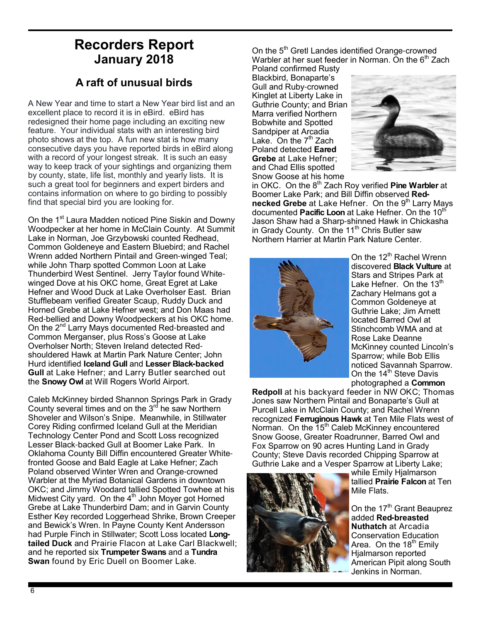## **Recorders Report January 2018**

## **A raft of unusual birds**

A New Year and time to start a New Year bird list and an excellent place to record it is in eBird. eBird has redesigned their home page including an exciting new feature. Your individual stats with an interesting bird photo shows at the top. A fun new stat is how many consecutive days you have reported birds in eBird along with a record of your longest streak. It is such an easy way to keep track of your sightings and organizing them by county, state, life list, monthly and yearly lists. It is such a great tool for beginners and expert birders and contains information on where to go birding to possibly find that special bird you are looking for.

On the 1<sup>st</sup> Laura Madden noticed Pine Siskin and Downy Woodpecker at her home in McClain County. At Summit Lake in Norman, Joe Grzybowski counted Redhead, Common Goldeneye and Eastern Bluebird; and Rachel Wrenn added Northern Pintail and Green-winged Teal; while John Tharp spotted Common Loon at Lake Thunderbird West Sentinel. Jerry Taylor found Whitewinged Dove at his OKC home, Great Egret at Lake Hefner and Wood Duck at Lake Overholser East. Brian Stufflebeam verified Greater Scaup, Ruddy Duck and Horned Grebe at Lake Hefner west; and Don Maas had Red-bellied and Downy Woodpeckers at his OKC home. On the 2<sup>nd</sup> Larry Mays documented Red-breasted and Common Merganser, plus Ross's Goose at Lake Overholser North; Steven Ireland detected Redshouldered Hawk at Martin Park Nature Center; John Hurd identified **Iceland Gull** and **Lesser Black-backed Gull** at Lake Hefner; and Larry Butler searched out the **Snowy Owl** at Will Rogers World Airport.

Caleb McKinney birded Shannon Springs Park in Grady County several times and on the  $3<sup>rd</sup>$  he saw Northern Shoveler and Wilson's Snipe. Meanwhile, in Stillwater Corey Riding confirmed Iceland Gull at the Meridian Technology Center Pond and Scott Loss recognized Lesser Black-backed Gull at Boomer Lake Park. In Oklahoma County Bill Diffin encountered Greater Whitefronted Goose and Bald Eagle at Lake Hefner; Zach Poland observed Winter Wren and Orange-crowned Warbler at the Myriad Botanical Gardens in downtown OKC; and Jimmy Woodard tallied Spotted Towhee at his Midwest City yard. On the  $4<sup>th</sup>$  John Moyer got Horned Grebe at Lake Thunderbird Dam; and in Garvin County Esther Key recorded Loggerhead Shrike, Brown Creeper and Bewick's Wren. In Payne County Kent Andersson had Purple Finch in Stillwater; Scott Loss located **Longtailed Duck** and Prairie Flacon at Lake Carl Blackwell; and he reported six **Trumpeter Swans** and a **Tundra Swan** found by Eric Duell on Boomer Lake.

On the 5<sup>th</sup> Gretl Landes identified Orange-crowned Warbler at her suet feeder in Norman. On the  $6<sup>th</sup>$  Zach

Poland confirmed Rusty Blackbird, Bonaparte's Gull and Ruby-crowned Kinglet at Liberty Lake in Guthrie County; and Brian Marra verified Northern Bobwhite and Spotted Sandpiper at Arcadia Lake. On the  $7<sup>th</sup>$  Zach Poland detected **Eared Grebe** at Lake Hefner; and Chad Ellis spotted Snow Goose at his home



in OKC. On the 8<sup>th</sup> Zach Roy verified **Pine Warbler** at Boomer Lake Park; and Bill Diffin observed **Rednecked Grebe** at Lake Hefner. On the 9<sup>th</sup> Larry Mays documented **Pacific Loon** at Lake Hefner. On the 10<sup>th</sup> Jason Shaw had a Sharp-shinned Hawk in Chickasha in Grady County. On the 11<sup>th</sup> Chris Butler saw Northern Harrier at Martin Park Nature Center.



On the  $12^{th}$  Rachel Wrenn discovered **Black Vulture** at Stars and Stripes Park at Lake Hefner. On the  $13<sup>th</sup>$ Zachary Helmans got a Common Goldeneye at Guthrie Lake; Jim Arnett located Barred Owl at Stinchcomb WMA and at Rose Lake Deanne McKinney counted Lincoln's Sparrow; while Bob Ellis noticed Savannah Sparrow. On the 14<sup>th</sup> Steve Davis photographed a **Common** 

**Redpoll** at his backyard feeder in NW OKC; Thomas Jones saw Northern Pintail and Bonaparte's Gull at Purcell Lake in McClain County; and Rachel Wrenn recognized **Ferruginous Hawk** at Ten Mile Flats west of Norman. On the 15<sup>th</sup> Caleb McKinney encountered Snow Goose, Greater Roadrunner, Barred Owl and Fox Sparrow on 90 acres Hunting Land in Grady County; Steve Davis recorded Chipping Sparrow at Guthrie Lake and a Vesper Sparrow at Liberty Lake;



while Emily Hialmarson tallied **Prairie Falcon** at Ten Mile Flats.

On the 17<sup>th</sup> Grant Beauprez added **Red-breasted Nuthatch** at Arcadia Conservation Education Area. On the  $18<sup>th</sup>$  Emily Hjalmarson reported American Pipit along South Jenkins in Norman.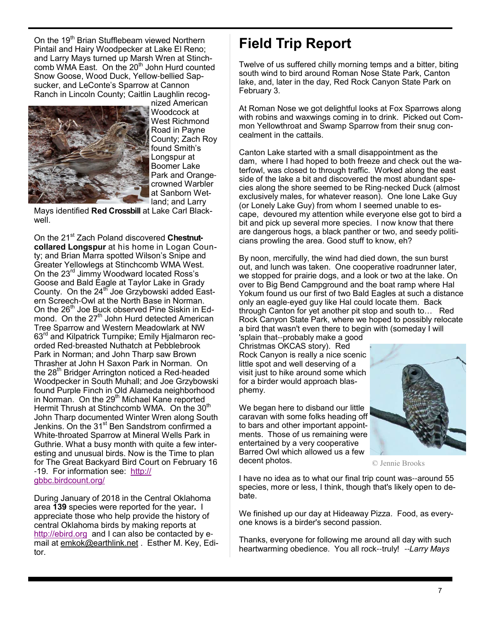On the 19<sup>th</sup> Brian Stufflebeam viewed Northern Pintail and Hairy Woodpecker at Lake El Reno; and Larry Mays turned up Marsh Wren at Stinchcomb WMA East. On the  $20<sup>th</sup>$  John Hurd counted Snow Goose, Wood Duck, Yellow-bellied Sapsucker, and LeConte's Sparrow at Cannon Ranch in Lincoln County; Caitlin Laughlin recog-



nized American Woodcock at West Richmond Road in Payne County; Zach Roy found Smith's Longspur at Boomer Lake Park and Orangecrowned Warbler at Sanborn Wetland; and Larry

Mays identified **Red Crossbill** at Lake Carl Blackwell.

On the 21<sup>st</sup> Zach Poland discovered Chestnut**collared Longspur** at his home in Logan County; and Brian Marra spotted Wilson's Snipe and Greater Yellowlegs at Stinchcomb WMA West. On the 23rd Jimmy Woodward located Ross's Goose and Bald Eagle at Taylor Lake in Grady County. On the 24<sup>th</sup> Joe Grzybowski added Eastern Screech-Owl at the North Base in Norman. On the 26<sup>th</sup> Joe Buck observed Pine Siskin in Edmond. On the 27<sup>th</sup> John Hurd detected American Tree Sparrow and Western Meadowlark at NW 63<sup>rd</sup> and Kilpatrick Turnpike; Emily Hjalmaron recorded Red-breasted Nuthatch at Pebblebrook Park in Norman; and John Tharp saw Brown Thrasher at John H Saxon Park in Norman. On the 28<sup>th</sup> Bridger Arrington noticed a Red-headed Woodpecker in South Muhall; and Joe Grzybowski found Purple Finch in Old Alameda neighborhood in Norman. On the 29<sup>th</sup> Michael Kane reported Hermit Thrush at Stinchcomb WMA. On the 30<sup>th</sup> John Tharp documented Winter Wren along South Jenkins. On the 31<sup>st</sup> Ben Sandstrom confirmed a White-throated Sparrow at Mineral Wells Park in Guthrie. What a busy month with quite a few interesting and unusual birds. Now is the Time to plan for The Great Backyard Bird Court on February 16 -19. For information see: http:// gbbc.birdcount.org/

During January of 2018 in the Central Oklahoma area **139** species were reported for the year**.** I appreciate those who help provide the history of central Oklahoma birds by making reports at http://ebird.org and I can also be contacted by email at emkok@earthlink.net . Esther M. Key, Editor.

# **Field Trip Report**

Twelve of us suffered chilly morning temps and a bitter, biting south wind to bird around Roman Nose State Park, Canton lake, and, later in the day, Red Rock Canyon State Park on February 3.

At Roman Nose we got delightful looks at Fox Sparrows along with robins and waxwings coming in to drink. Picked out Common Yellowthroat and Swamp Sparrow from their snug concealment in the cattails.

Canton Lake started with a small disappointment as the dam, where I had hoped to both freeze and check out the waterfowl, was closed to through traffic. Worked along the east side of the lake a bit and discovered the most abundant species along the shore seemed to be Ring-necked Duck (almost exclusively males, for whatever reason). One lone Lake Guy (or Lonely Lake Guy) from whom I seemed unable to escape, devoured my attention while everyone else got to bird a bit and pick up several more species. I now know that there are dangerous hogs, a black panther or two, and seedy politicians prowling the area. Good stuff to know, eh?

By noon, mercifully, the wind had died down, the sun burst out, and lunch was taken. One cooperative roadrunner later, we stopped for prairie dogs, and a look or two at the lake. On over to Big Bend Campground and the boat ramp where Hal Yokum found us our first of two Bald Eagles at such a distance only an eagle-eyed guy like Hal could locate them. Back through Canton for yet another pit stop and south to… Red Rock Canyon State Park, where we hoped to possibly relocate a bird that wasn't even there to begin with (someday I will

'splain that--probably make a good Christmas OKCAS story). Red Rock Canyon is really a nice scenic little spot and well deserving of a visit just to hike around some which for a birder would approach blasphemy.

We began here to disband our little caravan with some folks heading off to bars and other important appointments. Those of us remaining were entertained by a very cooperative Barred Owl which allowed us a few decent photos.



© Jennie Brooks

I have no idea as to what our final trip count was--around 55 species, more or less, I think, though that's likely open to debate.

We finished up our day at Hideaway Pizza. Food, as everyone knows is a birder's second passion.

Thanks, everyone for following me around all day with such heartwarming obedience. You all rock--truly! --*Larry Mays*